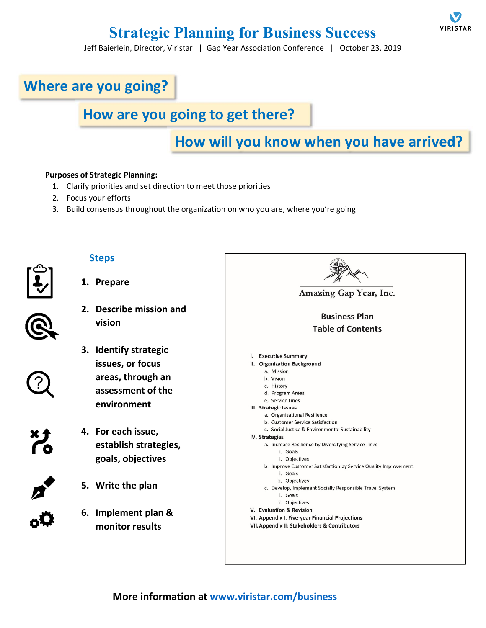# **Strategic Planning for Business Success**

Jeff Baierlein, Director, Viristar | Gap Year Association Conference | October 23, 2019

# **Where are you going?**

### **How are you going to get there?**

### **How will you know when you have arrived?**

#### **Purposes of Strategic Planning:**

- 1. Clarify priorities and set direction to meet those priorities
- 2. Focus your efforts
- 3. Build consensus throughout the organization on who you are, where you're going



### **Steps**

**1. Prepare** 

- **2. Describe mission and vision**
- **3. Identify strategic issues, or focus areas, through an assessment of the environment**
- **4. For each issue, establish strategies, goals, objectives**
- **5. Write the plan**
- **6. Implement plan & monitor results**